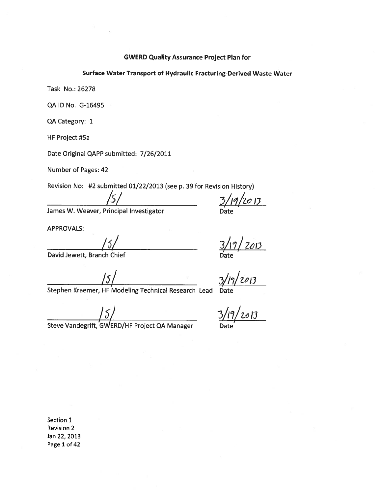#### **GWERD Quality Assurance Project Plan for**

#### Surface Water Transport of Hydraulic Fracturing-Derived Waste Water

Task No.: 26278

QA ID No. G-16495

QA Category: 1

HF Project #5a

Date Original QAPP submitted: 7/26/2011

Number of Pages: 42

Revision No: #2 submitted 01/22/2013 (see p. 39 for Revision History)

James W. Weaver, Principal Investigator

 $3/19/2013$ 

**APPROVALS:** 

 $/5/$ 

David Jewett, Branch Chief

 $\frac{15}{\sqrt{5}}$ <br>Stephen Kraemer, HF Modeling Technical Research Lead

 $\frac{3}{19}/\frac{2013}{2013}$ <br>  $\frac{3}{19}/\frac{2013}{2013}$ <br>  $\frac{3}{19}/\frac{2013}{2013}$ 

 $\frac{15}{15}$ <br>Steve Vandegrift, GWERD/HF Project QA Manager

Section 1 **Revision 2** Jan 22, 2013 Page 1 of 42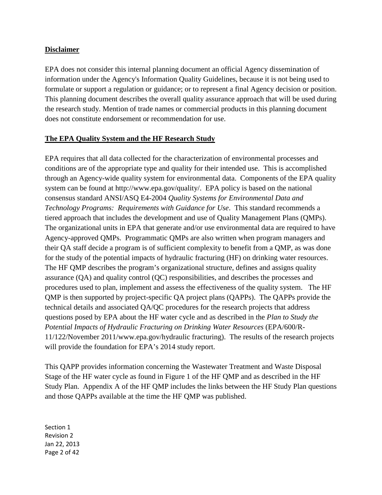#### **Disclaimer**

 EPA does not consider this internal planning document an official Agency dissemination of information under the Agency's Information Quality Guidelines, because it is not being used to formulate or support a regulation or guidance; or to represent a final Agency decision or position. This planning document describes the overall quality assurance approach that will be used during the research study. Mention of trade names or commercial products in this planning document does not constitute endorsement or recommendation for use.

### **The EPA Quality System and the HF Research Study**

 EPA requires that all data collected for the characterization of environmental processes and conditions are of the appropriate type and quality for their intended use. This is accomplished through an Agency-wide quality system for environmental data. Components of the EPA quality system can be found at [http://www.epa.gov/quality/. E](http://www.epa.gov/quality/)PA policy is based on the national consensus standard ANSI/ASQ E4-2004 *Quality Systems for Environmental Data and Technology Programs: Requirements with Guidance for Use*. This standard recommends a tiered approach that includes the development and use of Quality Management Plans (QMPs). The organizational units in EPA that generate and/or use environmental data are required to have Agency-approved QMPs. Programmatic QMPs are also written when program managers and their QA staff decide a program is of sufficient complexity to benefit from a QMP, as was done for the study of the potential impacts of hydraulic fracturing (HF) on drinking water resources. The HF QMP describes the program's organizational structure, defines and assigns quality assurance (QA) and quality control (QC) responsibilities, and describes the processes and procedures used to plan, implement and assess the effectiveness of the quality system. The HF QMP is then supported by project-specific QA project plans (QAPPs). The QAPPs provide the technical details and associated QA/QC procedures for the research projects that address questions posed by EPA about the HF water cycle and as described in the *Plan to Study the Potential Impacts of Hydraulic Fracturing on Drinking Water Resources* (EPA/600/R- 11/122/November 2011/[www.epa.gov/hydraulic fra](http://www.epa.gov/hydraulic)cturing). The results of the research projects will provide the foundation for EPA's 2014 study report.

 This QAPP provides information concerning the Wastewater Treatment and Waste Disposal Stage of the HF water cycle as found in Figure 1 of the HF QMP and as described in the HF Study Plan. Appendix A of the HF QMP includes the links between the HF Study Plan questions and those QAPPs available at the time the HF QMP was published.

 Section 1 Revision 2 Jan 22, 2013 Page 2 of 42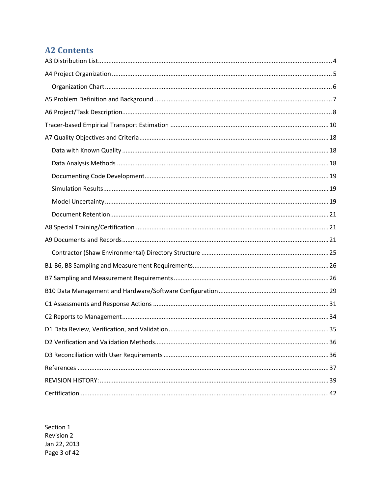# **A2 Contents**

Section 1 **Revision 2** Jan 22, 2013 Page 3 of 42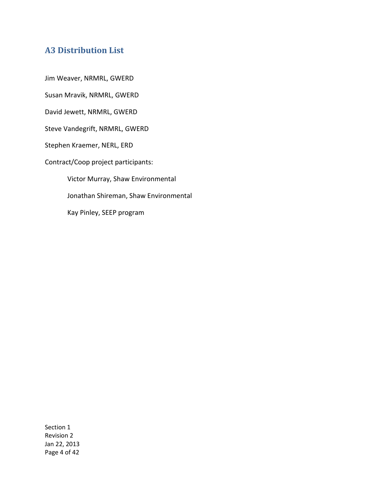## **A3 Distribution List**

Jim Weaver, NRMRL, GWERD

Susan Mravik, NRMRL, GWERD

David Jewett, NRMRL, GWERD

Steve Vandegrift, NRMRL, GWERD

Stephen Kraemer, NERL, ERD

Contract/Coop project participants:

 Victor Murray, Shaw Environmental Jonathan Shireman, Shaw Environmental Kay Pinley, SEEP program

Section 1 Revision 2 Jan 22, 2013 Page 4 of 42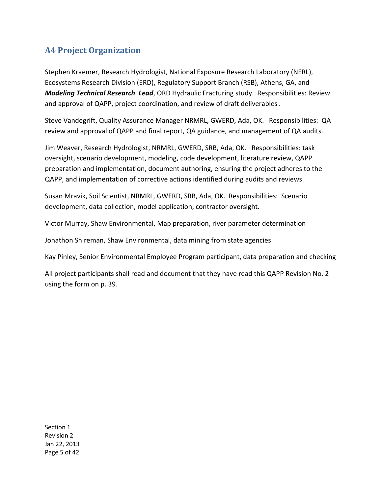# **A4 Project Organization**

 Stephen Kraemer, Research Hydrologist, National Exposure Research Laboratory (NERL), Ecosystems Research Division (ERD), Regulatory Support Branch (RSB), Athens, GA, and  *Modeling Technical Research Lead*, ORD Hydraulic Fracturing study. Responsibilities: Review and approval of QAPP, project coordination, and review of draft deliverables *.* 

 Steve Vandegrift, Quality Assurance Manager NRMRL, GWERD, Ada, OK. Responsibilities: QA review and approval of QAPP and final report, QA guidance, and management of QA audits.

 Jim Weaver, Research Hydrologist, NRMRL, GWERD, SRB, Ada, OK. Responsibilities: task oversight, scenario development, modeling, code development, literature review, QAPP preparation and implementation, document authoring, ensuring the project adheres to the QAPP, and implementation of corrective actions identified during audits and reviews.

 Susan Mravik, Soil Scientist, NRMRL, GWERD, SRB, Ada, OK. Responsibilities: Scenario development, data collection, model application, contractor oversight.

Victor Murray, Shaw Environmental, Map preparation, river parameter determination

Jonathon Shireman, Shaw Environmental, data mining from state agencies

Kay Pinley, Senior Environmental Employee Program participant, data preparation and checking

 All project participants shall read and document that they have read this QAPP Revision No. 2 using the form on p. 39.

Section 1 Revision 2 Jan 22, 2013 Page 5 of 42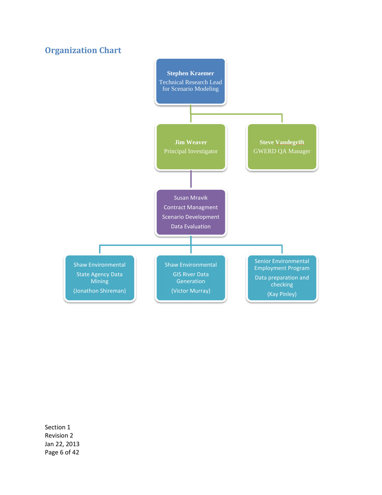### **Organization Chart**



Section 1 Revision 2 Jan 22, 2013 Page 6 of 42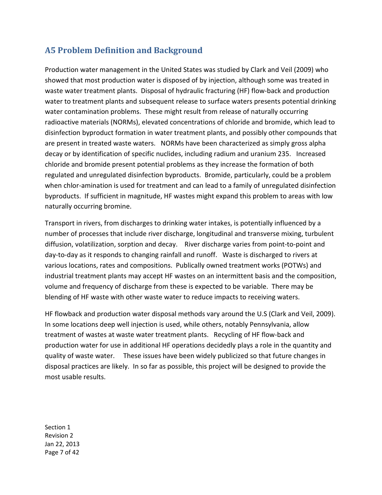# **A5 Problem Definition and Background**

 Production water management in the United States was studied by Clark and Veil (2009) who showed that most production water is disposed of by injection, although some was treated in waste water treatment plants. Disposal of hydraulic fracturing (HF) flow-back and production water to treatment plants and subsequent release to surface waters presents potential drinking water contamination problems. These might result from release of naturally occurring radioactive materials (NORMs), elevated concentrations of chloride and bromide, which lead to disinfection byproduct formation in water treatment plants, and possibly other compounds that are present in treated waste waters. NORMs have been characterized as simply gross alpha decay or by identification of specific nuclides, including radium and uranium 235. Increased chloride and bromide present potential problems as they increase the formation of both regulated and unregulated disinfection byproducts. Bromide, particularly, could be a problem when chlor-amination is used for treatment and can lead to a family of unregulated disinfection byproducts. If sufficient in magnitude, HF wastes might expand this problem to areas with low naturally occurring bromine.

 Transport in rivers, from discharges to drinking water intakes, is potentially influenced by a number of processes that include river discharge, longitudinal and transverse mixing, turbulent diffusion, volatilization, sorption and decay. River discharge varies from point-to-point and day-to-day as it responds to changing rainfall and runoff. Waste is discharged to rivers at various locations, rates and compositions. Publically owned treatment works (POTWs) and industrial treatment plants may accept HF wastes on an intermittent basis and the composition, volume and frequency of discharge from these is expected to be variable. There may be blending of HF waste with other waste water to reduce impacts to receiving waters.

 HF flowback and production water disposal methods vary around the U.S (Clark and Veil, 2009). In some locations deep well injection is used, while others, notably Pennsylvania, allow treatment of wastes at waste water treatment plants. Recycling of HF flow-back and production water for use in additional HF operations decidedly plays a role in the quantity and quality of waste water. These issues have been widely publicized so that future changes in disposal practices are likely. In so far as possible, this project will be designed to provide the most usable results.

Section 1 Revision 2 Jan 22, 2013 Page 7 of 42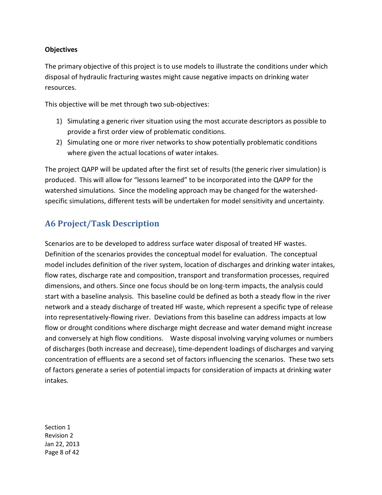#### **Objectives**

 The primary objective of this project is to use models to illustrate the conditions under which disposal of hydraulic fracturing wastes might cause negative impacts on drinking water resources.

resources.<br>This objective will be met through two sub-objectives:

- 1) Simulating a generic river situation using the most accurate descriptors as possible to provide a first order view of problematic conditions.
- 2) Simulating one or more river networks to show potentially problematic conditions where given the actual locations of water intakes.

 The project QAPP will be updated after the first set of results (the generic river simulation) is produced. This will allow for "lessons learned" to be incorporated into the QAPP for the watershed simulations. Since the modeling approach may be changed for the watershed-specific simulations, different tests will be undertaken for model sensitivity and uncertainty.

## **A6 Project/Task Description**

 Scenarios are to be developed to address surface water disposal of treated HF wastes. Definition of the scenarios provides the conceptual model for evaluation. The conceptual model includes definition of the river system, location of discharges and drinking water intakes, flow rates, discharge rate and composition, transport and transformation processes, required dimensions, and others. Since one focus should be on long-term impacts, the analysis could start with a baseline analysis. This baseline could be defined as both a steady flow in the river network and a steady discharge of treated HF waste, which represent a specific type of release into representatively-flowing river. Deviations from this baseline can address impacts at low flow or drought conditions where discharge might decrease and water demand might increase and conversely at high flow conditions. Waste disposal involving varying volumes or numbers of discharges (both increase and decrease), time-dependent loadings of discharges and varying concentration of effluents are a second set of factors influencing the scenarios. These two sets of factors generate a series of potential impacts for consideration of impacts at drinking water intakes.

Section 1 Revision 2 Jan 22, 2013 Page 8 of 42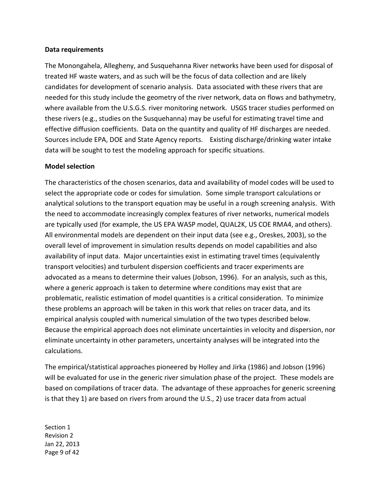#### **Data requirements**

 The Monongahela, Allegheny, and Susquehanna River networks have been used for disposal of treated HF waste waters, and as such will be the focus of data collection and are likely candidates for development of scenario analysis. Data associated with these rivers that are needed for this study include the geometry of the river network, data on flows and bathymetry, where available from the U.S.G.S. river monitoring network. USGS tracer studies performed on these rivers (e.g., studies on the Susquehanna) may be useful for estimating travel time and effective diffusion coefficients. Data on the quantity and quality of HF discharges are needed. Sources include EPA, DOE and State Agency reports. Existing discharge/drinking water intake data will be sought to test the modeling approach for specific situations.

#### **Model selection**

 The characteristics of the chosen scenarios, data and availability of model codes will be used to select the appropriate code or codes for simulation. Some simple transport calculations or analytical solutions to the transport equation may be useful in a rough screening analysis. With the need to accommodate increasingly complex features of river networks, numerical models are typically used (for example, the US EPA WASP model, QUAL2K, US COE RMA4, and others). All environmental models are dependent on their input data (see e.g., Oreskes, 2003), so the overall level of improvement in simulation results depends on model capabilities and also availability of input data. Major uncertainties exist in estimating travel times (equivalently transport velocities) and turbulent dispersion coefficients and tracer experiments are advocated as a means to determine their values (Jobson, 1996). For an analysis, such as this, where a generic approach is taken to determine where conditions may exist that are problematic, realistic estimation of model quantities is a critical consideration. To minimize these problems an approach will be taken in this work that relies on tracer data, and its empirical analysis coupled with numerical simulation of the two types described below. Because the empirical approach does not eliminate uncertainties in velocity and dispersion, nor eliminate uncertainty in other parameters, uncertainty analyses will be integrated into the calculations.

 The empirical/statistical approaches pioneered by Holley and Jirka (1986) and Jobson (1996) will be evaluated for use in the generic river simulation phase of the project. These models are based on compilations of tracer data. The advantage of these approaches for generic screening is that they 1) are based on rivers from around the U.S., 2) use tracer data from actual

 Section 1 Revision 2 Jan 22, 2013 Page 9 of 42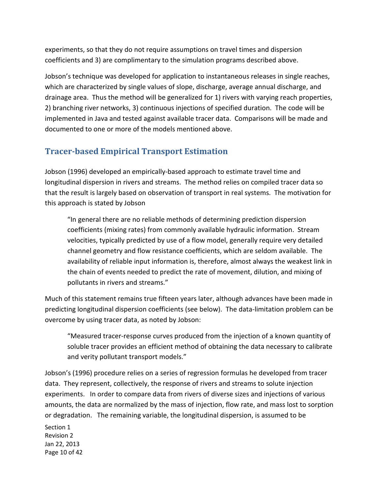experiments, so that they do not require assumptions on travel times and dispersion coefficients and 3) are complimentary to the simulation programs described above.

 Jobson's technique was developed for application to instantaneous releases in single reaches, which are characterized by single values of slope, discharge, average annual discharge, and drainage area. Thus the method will be generalized for 1) rivers with varying reach properties, 2) branching river networks, 3) continuous injections of specified duration. The code will be implemented in Java and tested against available tracer data. Comparisons will be made and documented to one or more of the models mentioned above.

# **Tracer-based Empirical Transport Estimation**

 Jobson (1996) developed an empirically-based approach to estimate travel time and longitudinal dispersion in rivers and streams. The method relies on compiled tracer data so that the result is largely based on observation of transport in real systems. The motivation for this approach is stated by Jobson

 "In general there are no reliable methods of determining prediction dispersion coefficients (mixing rates) from commonly available hydraulic information. Stream velocities, typically predicted by use of a flow model, generally require very detailed channel geometry and flow resistance coefficients, which are seldom available. The availability of reliable input information is, therefore, almost always the weakest link in the chain of events needed to predict the rate of movement, dilution, and mixing of pollutants in rivers and streams."

 Much of this statement remains true fifteen years later, although advances have been made in predicting longitudinal dispersion coefficients (see below). The data-limitation problem can be overcome by using tracer data, as noted by Jobson:

 "Measured tracer-response curves produced from the injection of a known quantity of soluble tracer provides an efficient method of obtaining the data necessary to calibrate and verity pollutant transport models."

 Jobson's (1996) procedure relies on a series of regression formulas he developed from tracer data. They represent, collectively, the response of rivers and streams to solute injection experiments. In order to compare data from rivers of diverse sizes and injections of various amounts, the data are normalized by the mass of injection, flow rate, and mass lost to sorption or degradation. The remaining variable, the longitudinal dispersion, is assumed to be

 Section 1 Revision 2 Jan 22, 2013 Page 10 of 42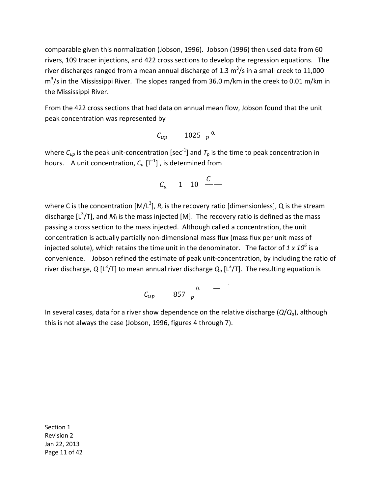comparable given this normalization (Jobson, 1996). Jobson (1996) then used data from 60 rivers, 109 tracer injections, and 422 cross sections to develop the regression equations. The river discharges ranged from a mean annual discharge of 1.3  $m^3/s$  in a small creek to 11,000  $\text{m}^3$ /s in the Mississippi River. The slopes ranged from 36.0 m/km in the creek to 0.01 m/km in the Mississippi River.

 From the 422 cross sections that had data on annual mean flow, Jobson found that the unit peak concentration was represented by

$$
C_{up}
$$
 1025  $p^{0}$ .

where  $C_{\mu \rho}$  is the peak unit-concentration [sec<sup>-1</sup>] and  $T_{\rho}$  is the time to peak concentration in hours. A unit concentration,  $C_u$   $[T^1]$  , is determined from

$$
C_u \qquad 1 \qquad 10 \qquad \frac{C}{1} \qquad \qquad
$$

where C is the concentration  $[M/L^3]$ ,  $R_r$  is the recovery ratio [dimensionless], Q is the stream discharge [L<sup>3</sup>/T], and  $M_i$  is the mass injected [M]. The recovery ratio is defined as the mass passing a cross section to the mass injected. Although called a concentration, the unit concentration is actually partially non-dimensional mass flux (mass flux per unit mass of injected solute), which retains the time unit in the denominator. The factor of *1 x 10<sup>6</sup>*is a convenience. Jobson refined the estimate of peak unit-concentration, by including the ratio of river discharge, Q [L<sup>3</sup>/T] to mean annual river discharge  $Q_{a}$  [L<sup>3</sup>/T]. The resulting equation is

$$
C_{up} \qquad 857 \quad p \qquad \qquad
$$

.

 In several cases, data for a river show dependence on the relative discharge (*Q*/*Qa*), although this is not always the case (Jobson, 1996, figures 4 through 7).

Section 1 Revision 2 Jan 22, 2013 Page 11 of 42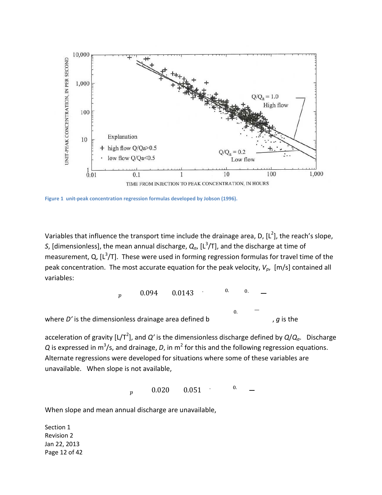

**Figure 1 unit-peak concentration regression formulas developed by Jobson (1996).** 

Variables that influence the transport time include the drainage area, D, [L<sup>2</sup>], the reach's slope, S, [dimensionless], the mean annual discharge,  $Q_{a}$ , [L<sup>3</sup>/T], and the discharge at time of measurement, Q,  $[L^3/T]$ . These were used in forming regression formulas for travel time of the peak concentration. The most accurate equation for the peak velocity,  $V_p$ , [m/s] contained all variables:

$$
p = 0.094
$$
 0.0143  $0.0143$   $0.0143$   $0.0143$   $0.0143$   $0.0143$   $0.0143$   $0.0143$   $0.0143$   $0.0143$   $0.0143$   $0.0143$   $0.0143$ 

acceleration of gravity [L/T<sup>2</sup>], and Q' is the dimensionless discharge defined by Q/Q<sub>a</sub>. Discharge  $Q$  is expressed in m<sup>3</sup>/s, and drainage, *D*, in m<sup>2</sup> for this and the following regression equations. Alternate regressions were developed for situations where some of these variables are unavailable. When slope is not available,

> $\boldsymbol{p}$  $\mathbf{0}$ . p 0.020 0.051

When slope and mean annual discharge are unavailable,

 Section 1 Revision 2 Jan 22, 2013 Page 12 of 42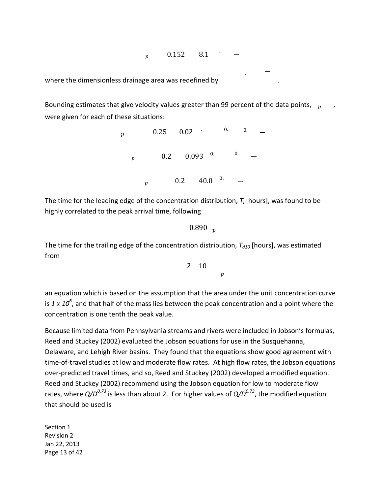.  $_p$  0.152 8.1

.

.

where the dimensionless drainage area was redefined by

Bounding estimates that give velocity values greater than 99 percent of the data points,  $p \rightarrow p$ were given for each of these situations:

> $0. 0.$  $0.$   $0.$  $_p$  0.25 0.02  $_p$  0.2 0.093  $p$  0.2 40.0 <sup>0.</sup>

The time for the leading edge of the concentration distribution,  $T_I$  [hours], was found to be highly correlated to the peak arrival time, following

 $0.890<sub>p</sub>$ 

The time for the trailing edge of the concentration distribution,  $T_{d10}$  [hours], was estimated from

> 2 10  $\boldsymbol{p}$

 an equation which is based on the assumption that the area under the unit concentration curve  is *1 x 10<sup>6</sup>* , and that half of the mass lies between the peak concentration and a point where the concentration is one tenth the peak value.

 Because limited data from Pennsylvania streams and rivers were included in Jobson's formulas, Reed and Stuckey (2002) evaluated the Jobson equations for use in the Susquehanna, Delaware, and Lehigh River basins. They found that the equations show good agreement with time-of-travel studies at low and moderate flow rates. At high flow rates, the Jobson equations over-predicted travel times, and so, Reed and Stuckey (2002) developed a modified equation. Reed and Stuckey (2002) recommend using the Jobson equation for low to moderate flow rates, where *Q/D0.73* is less than about 2. For higher values of *Q/D0.73*, the modified equation that should be used is

 Section 1 Revision 2 Jan 22, 2013 Page 13 of 42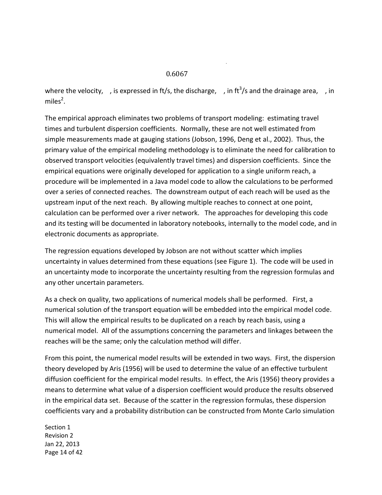#### 0.6067

where the velocity, , is expressed in ft/s, the discharge, , in ft<sup>3</sup>/s and the drainage area, , in miles $^2$ .

.

miles<sup>2</sup>.<br>The empirical approach eliminates two problems of transport modeling: estimating travel times and turbulent dispersion coefficients. Normally, these are not well estimated from simple measurements made at gauging stations (Jobson, 1996, Deng et al., 2002). Thus, the primary value of the empirical modeling methodology is to eliminate the need for calibration to observed transport velocities (equivalently travel times) and dispersion coefficients. Since the empirical equations were originally developed for application to a single uniform reach, a procedure will be implemented in a Java model code to allow the calculations to be performed over a series of connected reaches. The downstream output of each reach will be used as the upstream input of the next reach. By allowing multiple reaches to connect at one point, calculation can be performed over a river network. The approaches for developing this code and its testing will be documented in laboratory notebooks, internally to the model code, and in electronic documents as appropriate.

 The regression equations developed by Jobson are not without scatter which implies uncertainty in values determined from these equations (see Figure 1). The code will be used in an uncertainty mode to incorporate the uncertainty resulting from the regression formulas and any other uncertain parameters.

 As a check on quality, two applications of numerical models shall be performed. First, a numerical solution of the transport equation will be embedded into the empirical model code. This will allow the empirical results to be duplicated on a reach by reach basis, using a numerical model. All of the assumptions concerning the parameters and linkages between the reaches will be the same; only the calculation method will differ.

 From this point, the numerical model results will be extended in two ways. First, the dispersion theory developed by Aris (1956) will be used to determine the value of an effective turbulent diffusion coefficient for the empirical model results. In effect, the Aris (1956) theory provides a means to determine what value of a dispersion coefficient would produce the results observed in the empirical data set. Because of the scatter in the regression formulas, these dispersion coefficients vary and a probability distribution can be constructed from Monte Carlo simulation

Section 1 Revision 2 Jan 22, 2013 Page 14 of 42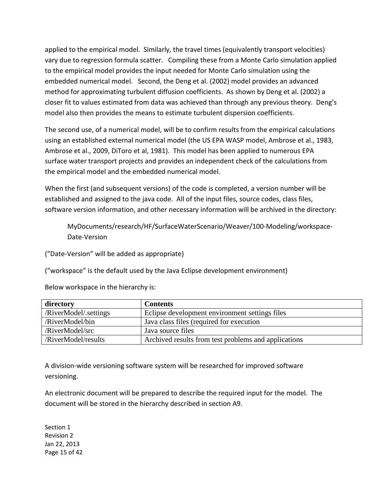applied to the empirical model. Similarly, the travel times (equivalently transport velocities) vary due to regression formula scatter. Compiling these from a Monte Carlo simulation applied to the empirical model provides the input needed for Monte Carlo simulation using the embedded numerical model. Second, the Deng et al. (2002) model provides an advanced method for approximating turbulent diffusion coefficients. As shown by Deng et al. (2002) a closer fit to values estimated from data was achieved than through any previous theory. Deng's model also then provides the means to estimate turbulent dispersion coefficients.

 The second use, of a numerical model, will be to confirm results from the empirical calculations using an established external numerical model (the US EPA WASP model, Ambrose et al., 1983, Ambrose et al., 2009, DiToro et al, 1981). This model has been applied to numerous EPA surface water transport projects and provides an independent check of the calculations from the empirical model and the embedded numerical model.

 When the first (and subsequent versions) of the code is completed, a version number will be established and assigned to the java code. All of the input files, source codes, class files, software version information, and other necessary information will be archived in the directory:

MyDocuments/research/HF/SurfaceWaterScenario/Weaver/100-Modeling/workspace-Date-Version

("Date-Version" will be added as appropriate)

("workspace" is the default used by the Java Eclipse development environment)

Below workspace in the hierarchy is:

| directory             | <b>Contents</b>                                      |
|-----------------------|------------------------------------------------------|
| /RiverModel/.settings | Eclipse development environment settings files       |
| /RiverModel/bin       | Java class files (required for execution             |
| /RiverModel/src       | Java source files                                    |
| /RiverModel/results   | Archived results from test problems and applications |

 A division-wide versioning software system will be researched for improved software versioning.

 An electronic document will be prepared to describe the required input for the model. The document will be stored in the hierarchy described in section A9.

 Section 1 Revision 2 Jan 22, 2013 Page 15 of 42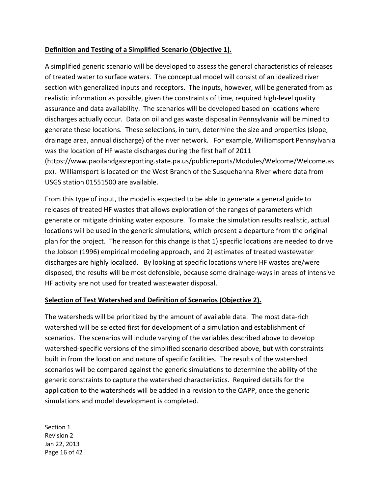### **Definition and Testing of a Simplified Scenario (Objective 1).**

 A simplified generic scenario will be developed to assess the general characteristics of releases of treated water to surface waters. The conceptual model will consist of an idealized river section with generalized inputs and receptors. The inputs, however, will be generated from as realistic information as possible, given the constraints of time, required high-level quality assurance and data availability. The scenarios will be developed based on locations where discharges actually occur. Data on oil and gas waste disposal in Pennsylvania will be mined to generate these locations. These selections, in turn, determine the size and properties (slope, drainage area, annual discharge) of the river network. For example, Williamsport Pennsylvania was the location of HF waste discharges during the first half of 2011 [px\). W](https://www.paoilandgasreporting.state.pa.us/publicreports/Modules/Welcome/Welcome.aspx)illiamsport is located on the West Branch of the Susquehanna River where data from USGS station 01551500 are available. ([https://www.paoilandgasreporting.state.pa.us/publicreports/Modules/Welcome/Welcome.as](https://www.paoilandgasreporting.state.pa.us/publicreports/Modules/Welcome/Welcome.aspx) 

 From this type of input, the model is expected to be able to generate a general guide to releases of treated HF wastes that allows exploration of the ranges of parameters which generate or mitigate drinking water exposure. To make the simulation results realistic, actual locations will be used in the generic simulations, which present a departure from the original plan for the project. The reason for this change is that 1) specific locations are needed to drive the Jobson (1996) empirical modeling approach, and 2) estimates of treated wastewater discharges are highly localized. By looking at specific locations where HF wastes are/were disposed, the results will be most defensible, because some drainage-ways in areas of intensive HF activity are not used for treated wastewater disposal.

### **Selection of Test Watershed and Definition of Scenarios (Objective 2).**

 The watersheds will be prioritized by the amount of available data. The most data-rich watershed will be selected first for development of a simulation and establishment of scenarios. The scenarios will include varying of the variables described above to develop watershed-specific versions of the simplified scenario described above, but with constraints built in from the location and nature of specific facilities. The results of the watershed scenarios will be compared against the generic simulations to determine the ability of the generic constraints to capture the watershed characteristics. Required details for the application to the watersheds will be added in a revision to the QAPP, once the generic simulations and model development is completed.

 Section 1 Revision 2 Jan 22, 2013 Page 16 of 42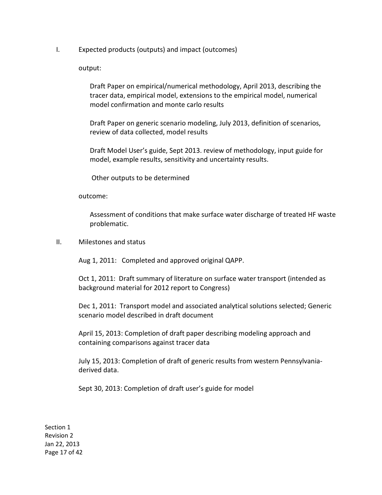I. Expected products (outputs) and impact (outcomes)

output:

 output: Draft Paper on empirical/numerical methodology, April 2013, describing the tracer data, empirical model, extensions to the empirical model, numerical model confirmation and monte carlo results

 Draft Paper on generic scenario modeling, July 2013, definition of scenarios, review of data collected, model results

 Draft Model User's guide, Sept 2013. review of methodology, input guide for model, example results, sensitivity and uncertainty results.

Other outputs to be determined

outcome:

 outcome: Assessment of conditions that make surface water discharge of treated HF waste problematic.

II. Milestones and status

Aug 1, 2011: Completed and approved original QAPP.

 Oct 1, 2011: Draft summary of literature on surface water transport (intended as background material for 2012 report to Congress)

 Dec 1, 2011: Transport model and associated analytical solutions selected; Generic scenario model described in draft document

 April 15, 2013: Completion of draft paper describing modeling approach and containing comparisons against tracer data

 July 15, 2013: Completion of draft of generic results from western Pennsylvania-derived data.

Sept 30, 2013: Completion of draft user's guide for model

Section 1 Revision 2 Jan 22, 2013 Page 17 of 42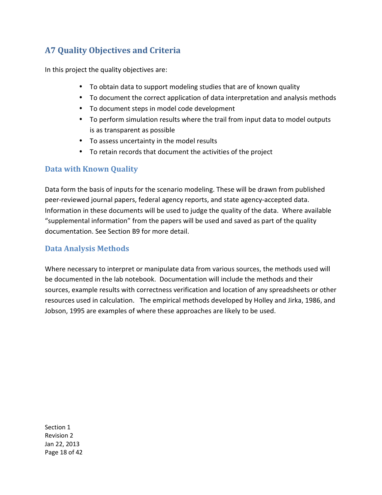# **A7 Quality Objectives and Criteria**

In this project the quality objectives are:

- To obtain data to support modeling studies that are of known quality
- To document the correct application of data interpretation and analysis methods
- • To document steps in model code development
- To perform simulation results where the trail from input data to model outputs is as transparent as possible
- • To assess uncertainty in the model results
- • To retain records that document the activities of the project

### **Data with Known Quality**

 Data form the basis of inputs for the scenario modeling. These will be drawn from published peer-reviewed journal papers, federal agency reports, and state agency-accepted data. Information in these documents will be used to judge the quality of the data. Where available "supplemental information" from the papers will be used and saved as part of the quality documentation. See Section B9 for more detail.

### **Data Analysis Methods**

 Where necessary to interpret or manipulate data from various sources, the methods used will be documented in the lab notebook. Documentation will include the methods and their sources, example results with correctness verification and location of any spreadsheets or other resources used in calculation. The empirical methods developed by Holley and Jirka, 1986, and Jobson, 1995 are examples of where these approaches are likely to be used.

Section 1 Revision 2 Jan 22, 2013 Page 18 of 42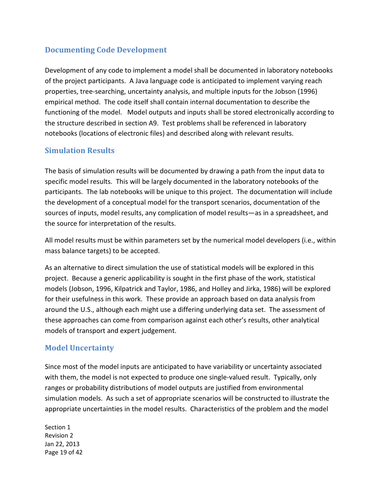### **Documenting Code Development**

 Development of any code to implement a model shall be documented in laboratory notebooks of the project participants. A Java language code is anticipated to implement varying reach properties, tree-searching, uncertainty analysis, and multiple inputs for the Jobson (1996) empirical method. The code itself shall contain internal documentation to describe the functioning of the model. Model outputs and inputs shall be stored electronically according to the structure described in section A9. Test problems shall be referenced in laboratory notebooks (locations of electronic files) and described along with relevant results.

### **Simulation Results**

 The basis of simulation results will be documented by drawing a path from the input data to specific model results. This will be largely documented in the laboratory notebooks of the participants. The lab notebooks will be unique to this project. The documentation will include the development of a conceptual model for the transport scenarios, documentation of the sources of inputs, model results, any complication of model results—as in a spreadsheet, and the source for interpretation of the results.

 All model results must be within parameters set by the numerical model developers (i.e., within mass balance targets) to be accepted.

 As an alternative to direct simulation the use of statistical models will be explored in this project. Because a generic applicability is sought in the first phase of the work, statistical models (Jobson, 1996, Kilpatrick and Taylor, 1986, and Holley and Jirka, 1986) will be explored for their usefulness in this work. These provide an approach based on data analysis from around the U.S., although each might use a differing underlying data set. The assessment of these approaches can come from comparison against each other's results, other analytical models of transport and expert judgement.

### **Model Uncertainty**

 Since most of the model inputs are anticipated to have variability or uncertainty associated with them, the model is not expected to produce one single-valued result. Typically, only ranges or probability distributions of model outputs are justified from environmental simulation models. As such a set of appropriate scenarios will be constructed to illustrate the appropriate uncertainties in the model results. Characteristics of the problem and the model

Section 1 Revision 2 Jan 22, 2013 Page 19 of 42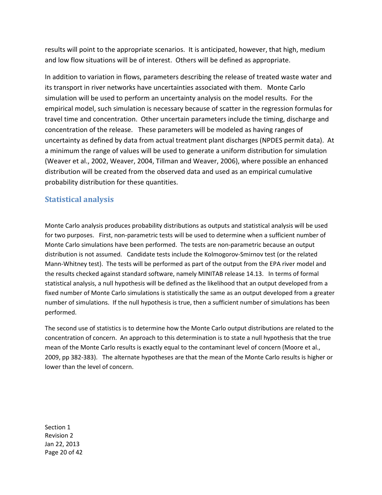results will point to the appropriate scenarios. It is anticipated, however, that high, medium and low flow situations will be of interest. Others will be defined as appropriate.

 In addition to variation in flows, parameters describing the release of treated waste water and its transport in river networks have uncertainties associated with them. Monte Carlo simulation will be used to perform an uncertainty analysis on the model results. For the empirical model, such simulation is necessary because of scatter in the regression formulas for travel time and concentration. Other uncertain parameters include the timing, discharge and concentration of the release. These parameters will be modeled as having ranges of uncertainty as defined by data from actual treatment plant discharges (NPDES permit data). At a minimum the range of values will be used to generate a uniform distribution for simulation (Weaver et al., 2002, Weaver, 2004, Tillman and Weaver, 2006), where possible an enhanced distribution will be created from the observed data and used as an empirical cumulative probability distribution for these quantities.

### **Statistical analysis**

 Monte Carlo analysis produces probability distributions as outputs and statistical analysis will be used for two purposes. First, non-parametric tests will be used to determine when a sufficient number of Monte Carlo simulations have been performed. The tests are non-parametric because an output distribution is not assumed. Candidate tests include the Kolmogorov-Smirnov test (or the related Mann-Whitney test). The tests will be performed as part of the output from the EPA river model and the results checked against standard software, namely MINITAB release 14.13. In terms of formal statistical analysis, a null hypothesis will be defined as the likelihood that an output developed from a fixed number of Monte Carlo simulations is statistically the same as an output developed from a greater number of simulations. If the null hypothesis is true, then a sufficient number of simulations has been performed.

 The second use of statistics is to determine how the Monte Carlo output distributions are related to the concentration of concern. An approach to this determination is to state a null hypothesis that the true mean of the Monte Carlo results is exactly equal to the contaminant level of concern (Moore et al., 2009, pp 382-383). The alternate hypotheses are that the mean of the Monte Carlo results is higher or lower than the level of concern.

Section 1 Revision 2 Jan 22, 2013 Page 20 of 42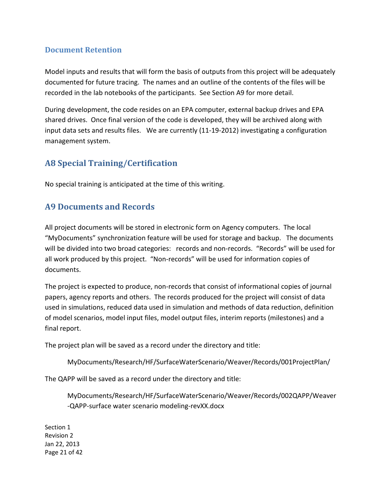### **Document Retention**

 Model inputs and results that will form the basis of outputs from this project will be adequately documented for future tracing. The names and an outline of the contents of the files will be recorded in the lab notebooks of the participants. See Section A9 for more detail.

 During development, the code resides on an EPA computer, external backup drives and EPA shared drives. Once final version of the code is developed, they will be archived along with input data sets and results files. We are currently (11-19-2012) investigating a configuration management system.

## **A8 Special Training/Certification**

No special training is anticipated at the time of this writing.

## **A9 Documents and Records**

 All project documents will be stored in electronic form on Agency computers. The local "MyDocuments" synchronization feature will be used for storage and backup. The documents will be divided into two broad categories: records and non-records. "Records" will be used for all work produced by this project. "Non-records" will be used for information copies of documents.

 The project is expected to produce, non-records that consist of informational copies of journal papers, agency reports and others. The records produced for the project will consist of data used in simulations, reduced data used in simulation and methods of data reduction, definition of model scenarios, model input files, model output files, interim reports (milestones) and a final report.

The project plan will be saved as a record under the directory and title:

MyDocuments/Research/HF/SurfaceWaterScenario/Weaver/Records/001ProjectPlan/

The QAPP will be saved as a record under the directory and title:

 -QAPP-surface water scenario modeling-revXX.docx MyDocuments/Research/HF/SurfaceWaterScenario/Weaver/Records/002QAPP/Weaver

Section 1 Revision 2 Jan 22, 2013 Page 21 of 42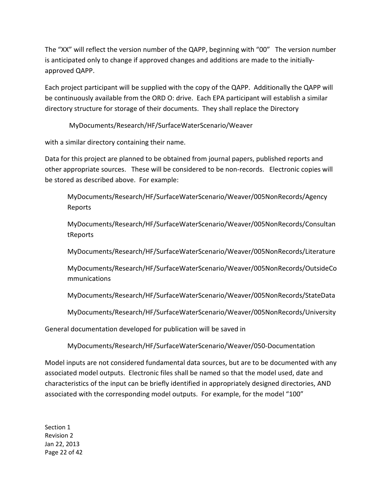The "XX" will reflect the version number of the QAPP, beginning with "00" The version number is anticipated only to change if approved changes and additions are made to the initially-approved QAPP.

 Each project participant will be supplied with the copy of the QAPP. Additionally the QAPP will be continuously available from the ORD O: drive. Each EPA participant will establish a similar directory structure for storage of their documents. They shall replace the Directory

MyDocuments/Research/HF/SurfaceWaterScenario/Weaver with a similar directory containing their name.

with a similar directory containing their name.

 Data for this project are planned to be obtained from journal papers, published reports and other appropriate sources. These will be considered to be non-records. Electronic copies will be stored as described above. For example:

MyDocuments/Research/HF/SurfaceWaterScenario/Weaver/005NonRecords/Agency Reports

MyDocuments/Research/HF/SurfaceWaterScenario/Weaver/005NonRecords/Consultan tReports

MyDocuments/Research/HF/SurfaceWaterScenario/Weaver/005NonRecords/Literature

MyDocuments/Research/HF/SurfaceWaterScenario/Weaver/005NonRecords/OutsideCo mmunications

MyDocuments/Research/HF/SurfaceWaterScenario/Weaver/005NonRecords/StateData

MyDocuments/Research/HF/SurfaceWaterScenario/Weaver/005NonRecords/University

General documentation developed for publication will be saved in

MyDocuments/Research/HF/SurfaceWaterScenario/Weaver/050-Documentation

 Model inputs are not considered fundamental data sources, but are to be documented with any associated model outputs. Electronic files shall be named so that the model used, date and characteristics of the input can be briefly identified in appropriately designed directories, AND associated with the corresponding model outputs. For example, for the model "100"

Section 1 Revision 2 Jan 22, 2013 Page 22 of 42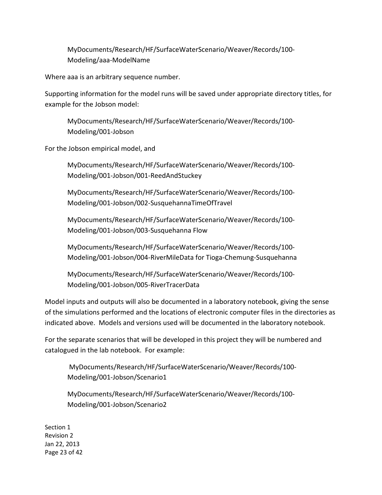MyDocuments/Research/HF/SurfaceWaterScenario/Weaver/Records/100- Modeling/aaa-ModelName

Where aaa is an arbitrary sequence number.

 Supporting information for the model runs will be saved under appropriate directory titles, for example for the Jobson model:

MyDocuments/Research/HF/SurfaceWaterScenario/Weaver/Records/100- Modeling/001-Jobson

For the Jobson empirical model, and

MyDocuments/Research/HF/SurfaceWaterScenario/Weaver/Records/100- Modeling/001-Jobson/001-ReedAndStuckey

MyDocuments/Research/HF/SurfaceWaterScenario/Weaver/Records/100- Modeling/001-Jobson/002-SusquehannaTimeOfTravel

 Modeling/001-Jobson/003-Susquehanna Flow MyDocuments/Research/HF/SurfaceWaterScenario/Weaver/Records/100-

 Modeling/001-Jobson/004-RiverMileData for Tioga-Chemung-Susquehanna MyDocuments/Research/HF/SurfaceWaterScenario/Weaver/Records/100-

MyDocuments/Research/HF/SurfaceWaterScenario/Weaver/Records/100- Modeling/001-Jobson/005-RiverTracerData

 Model inputs and outputs will also be documented in a laboratory notebook, giving the sense of the simulations performed and the locations of electronic computer files in the directories as indicated above. Models and versions used will be documented in the laboratory notebook.

 For the separate scenarios that will be developed in this project they will be numbered and catalogued in the lab notebook. For example:

MyDocuments/Research/HF/SurfaceWaterScenario/Weaver/Records/100- Modeling/001-Jobson/Scenario1

MyDocuments/Research/HF/SurfaceWaterScenario/Weaver/Records/100- Modeling/001-Jobson/Scenario2

Section 1 Revision 2 Jan 22, 2013 Page 23 of 42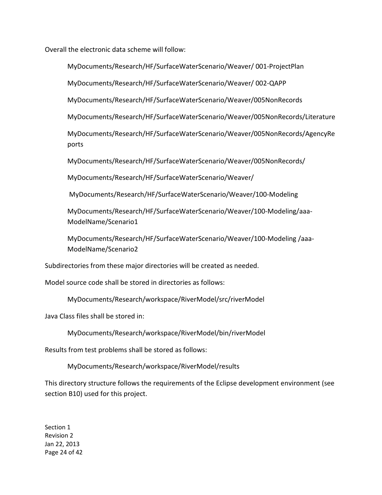Overall the electronic data scheme will follow:

MyDocuments/Research/HF/SurfaceWaterScenario/Weaver/ 001-ProjectPlan

MyDocuments/Research/HF/SurfaceWaterScenario/Weaver/ 002-QAPP

MyDocuments/Research/HF/SurfaceWaterScenario/Weaver/005NonRecords

MyDocuments/Research/HF/SurfaceWaterScenario/Weaver/005NonRecords/Literature

MyDocuments/Research/HF/SurfaceWaterScenario/Weaver/005NonRecords/AgencyRe ports

MyDocuments/Research/HF/SurfaceWaterScenario/Weaver/005NonRecords/

MyDocuments/Research/HF/SurfaceWaterScenario/Weaver/

MyDocuments/Research/HF/SurfaceWaterScenario/Weaver/ MyDocuments/Research/HF/SurfaceWaterScenario/Weaver/100-Modeling

MyDocuments/Research/HF/SurfaceWaterScenario/Weaver/100-Modeling/aaa-ModelName/Scenario1

MyDocuments/Research/HF/SurfaceWaterScenario/Weaver/100-Modeling /aaa-ModelName/Scenario2

Subdirectories from these major directories will be created as needed.

Model source code shall be stored in directories as follows:

MyDocuments/Research/workspace/RiverModel/src/riverModel

Java Class files shall be stored in:

MyDocuments/Research/workspace/RiverModel/bin/riverModel

Results from test problems shall be stored as follows:

MyDocuments/Research/workspace/RiverModel/results

 This directory structure follows the requirements of the Eclipse development environment (see section B10) used for this project.

Section 1 Revision 2 Jan 22, 2013 Page 24 of 42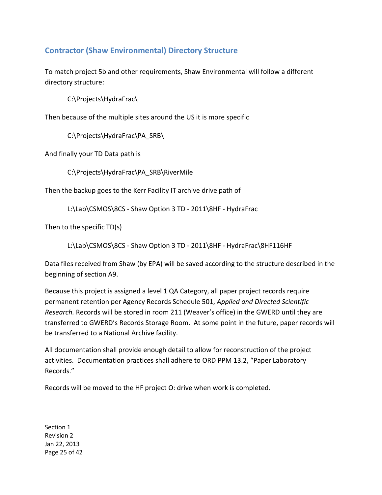### **Contractor (Shaw Environmental) Directory Structure**

 To match project 5b and other requirements, Shaw Environmental will follow a different directory structure:

C:\Projects\HydraFrac\

Then because of the multiple sites around the US it is more specific

C:\Projects\HydraFrac\PA\_SRB\

And finally your TD Data path is

C:\Projects\HydraFrac\PA\_SRB\RiverMile

Then the backup goes to the Kerr Facility IT archive drive path of

L:\Lab\CSMOS\8CS - Shaw Option 3 TD - 2011\8HF - HydraFrac

Then to the specific TD(s)

L:\Lab\CSMOS\8CS - Shaw Option 3 TD - 2011\8HF - HydraFrac\8HF116HF

 Data files received from Shaw (by EPA) will be saved according to the structure described in the beginning of section A9.

 Because this project is assigned a level 1 QA Category, all paper project records require permanent retention per Agency Records Schedule 501, *Applied and Directed Scientific Research.* Records will be stored in room 211 (Weaver's office) in the GWERD until they are transferred to GWERD's Records Storage Room. At some point in the future, paper records will be transferred to a National Archive facility.

 All documentation shall provide enough detail to allow for reconstruction of the project activities. Documentation practices shall adhere to ORD PPM 13.2, "Paper Laboratory Records."

Records."<br>Records will be moved to the HF project O: drive when work is completed.

Section 1 Revision 2 Jan 22, 2013 Page 25 of 42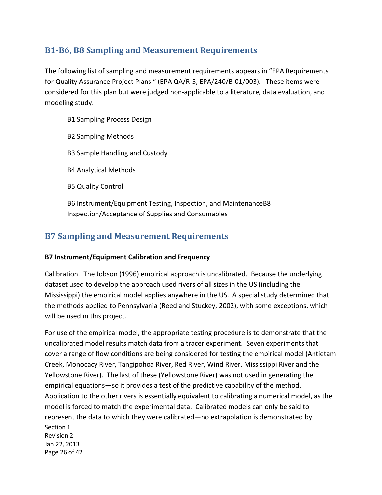# **B1-B6, B8 Sampling and Measurement Requirements**

 The following list of sampling and measurement requirements appears in "EPA Requirements for Quality Assurance Project Plans " (EPA QA/R-5, EPA/240/B-01/003). These items were considered for this plan but were judged non-applicable to a literature, data evaluation, and modeling study.

- B1 Sampling Process Design
- B2 Sampling Methods
- B3 Sample Handling and Custody
- B4 Analytical Methods
- B5 Quality Control
- B6 Instrument/Equipment Testing, Inspection, and MaintenanceB8 Inspection/Acceptance of Supplies and Consumables

## **B7 Sampling and Measurement Requirements**

### **B7 Instrument/Equipment Calibration and Frequency**

 Calibration. The Jobson (1996) empirical approach is uncalibrated. Because the underlying dataset used to develop the approach used rivers of all sizes in the US (including the Mississippi) the empirical model applies anywhere in the US. A special study determined that the methods applied to Pennsylvania (Reed and Stuckey, 2002), with some exceptions, which will be used in this project.

 Section 1 Revision 2 Jan 22, 2013 Page 26 of 42 For use of the empirical model, the appropriate testing procedure is to demonstrate that the uncalibrated model results match data from a tracer experiment. Seven experiments that cover a range of flow conditions are being considered for testing the empirical model (Antietam Creek, Monocacy River, Tangipohoa River, Red River, Wind River, Mississippi River and the Yellowstone River). The last of these (Yellowstone River) was not used in generating the empirical equations—so it provides a test of the predictive capability of the method. Application to the other rivers is essentially equivalent to calibrating a numerical model, as the model is forced to match the experimental data. Calibrated models can only be said to represent the data to which they were calibrated—no extrapolation is demonstrated by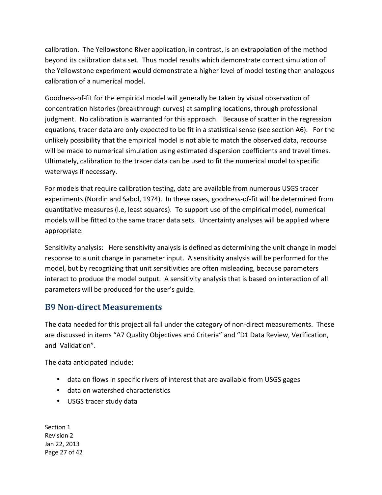calibration. The Yellowstone River application, in contrast, is an extrapolation of the method beyond its calibration data set. Thus model results which demonstrate correct simulation of the Yellowstone experiment would demonstrate a higher level of model testing than analogous calibration of a numerical model.

 Goodness-of-fit for the empirical model will generally be taken by visual observation of concentration histories (breakthrough curves) at sampling locations, through professional judgment. No calibration is warranted for this approach. Because of scatter in the regression equations, tracer data are only expected to be fit in a statistical sense (see section A6). For the unlikely possibility that the empirical model is not able to match the observed data, recourse will be made to numerical simulation using estimated dispersion coefficients and travel times. Ultimately, calibration to the tracer data can be used to fit the numerical model to specific waterways if necessary.

 For models that require calibration testing, data are available from numerous USGS tracer experiments (Nordin and Sabol, 1974). In these cases, goodness-of-fit will be determined from quantitative measures (i.e, least squares). To support use of the empirical model, numerical models will be fitted to the same tracer data sets. Uncertainty analyses will be applied where appropriate.

 Sensitivity analysis: Here sensitivity analysis is defined as determining the unit change in model response to a unit change in parameter input. A sensitivity analysis will be performed for the model, but by recognizing that unit sensitivities are often misleading, because parameters interact to produce the model output. A sensitivity analysis that is based on interaction of all parameters will be produced for the user's guide.

## **B9 Non-direct Measurements**

 The data needed for this project all fall under the category of non-direct measurements. These are discussed in items "A7 Quality Objectives and Criteria" and "D1 Data Review, Verification, and Validation".

The data anticipated include:

- data on flows in specific rivers of interest that are available from USGS gages
- data on watershed characteristics
- USGS tracer study data

Section 1 Revision 2 Jan 22, 2013 Page 27 of 42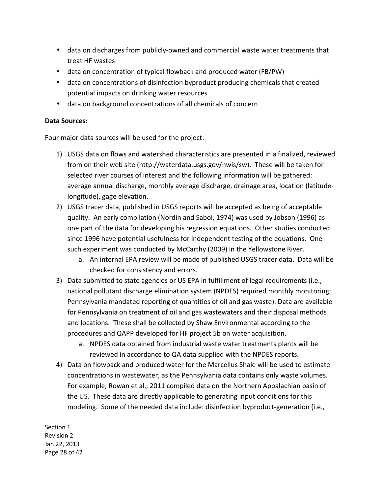- data on discharges from publicly-owned and commercial waste water treatments that treat HF wastes
- data on concentration of typical flowback and produced water (FB/PW)
- data on concentrations of disinfection byproduct producing chemicals that created potential impacts on drinking water resources
- • data on background concentrations of all chemicals of concern

#### **Data Sources:**

Four major data sources will be used for the project:

- 1) USGS data on flows and watershed characteristics are presented in a finalized, reviewed from on their web site [\(http://waterdata.usgs.gov/nwis/sw\). Th](http://waterdata.usgs.gov/nwis/sw)ese will be taken for selected river courses of interest and the following information will be gathered: average annual discharge, monthly average discharge, drainage area, location (latitude-longitude), gage elevation.
- 2) USGS tracer data, published in USGS reports will be accepted as being of acceptable quality. An early compilation (Nordin and Sabol, 1974) was used by Jobson (1996) as one part of the data for developing his regression equations. Other studies conducted since 1996 have potential usefulness for independent testing of the equations. One such experiment was conducted by McCarthy (2009) in the Yellowstone River.
	- a. An internal EPA review will be made of published USGS tracer data. Data will be checked for consistency and errors.
- 3) Data submitted to state agencies or US EPA in fulfillment of legal requirements (i.e., national pollutant discharge elimination system (NPDES) required monthly monitoring; Pennsylvania mandated reporting of quantities of oil and gas waste). Data are available for Pennsylvania on treatment of oil and gas wastewaters and their disposal methods and locations. These shall be collected by Shaw Environmental according to the procedures and QAPP developed for HF project 5b on water acquisition.
	- a. NPDES data obtained from industrial waste water treatments plants will be reviewed in accordance to QA data supplied with the NPDES reports.
- 4) Data on flowback and produced water for the Marcellus Shale will be used to estimate concentrations in wastewater, as the Pennsylvania data contains only waste volumes. For example, Rowan et al., 2011 compiled data on the Northern Appalachian basin of the US. These data are directly applicable to generating input conditions for this modeling. Some of the needed data include: disinfection byproduct-generation (i.e.,

Section 1 Revision 2 Jan 22, 2013 Page 28 of 42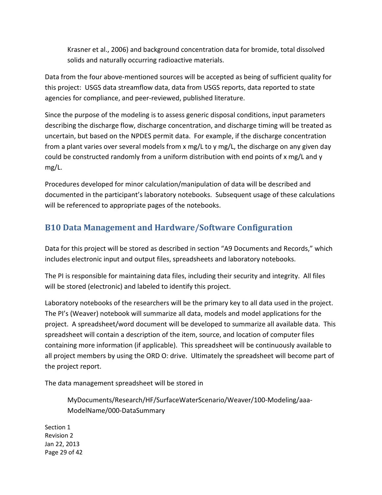Krasner et al., 2006) and background concentration data for bromide, total dissolved solids and naturally occurring radioactive materials.

 Data from the four above-mentioned sources will be accepted as being of sufficient quality for this project: USGS data streamflow data, data from USGS reports, data reported to state agencies for compliance, and peer-reviewed, published literature.

 Since the purpose of the modeling is to assess generic disposal conditions, input parameters describing the discharge flow, discharge concentration, and discharge timing will be treated as uncertain, but based on the NPDES permit data. For example, if the discharge concentration from a plant varies over several models from x mg/L to y mg/L, the discharge on any given day could be constructed randomly from a uniform distribution with end points of x mg/L and y mg/L.

 Procedures developed for minor calculation/manipulation of data will be described and documented in the participant's laboratory notebooks. Subsequent usage of these calculations will be referenced to appropriate pages of the notebooks.

# **B10 Data Management and Hardware/Software Configuration**

 Data for this project will be stored as described in section "A9 Documents and Records," which includes electronic input and output files, spreadsheets and laboratory notebooks.

 The PI is responsible for maintaining data files, including their security and integrity. All files will be stored (electronic) and labeled to identify this project.

 Laboratory notebooks of the researchers will be the primary key to all data used in the project. The PI's (Weaver) notebook will summarize all data, models and model applications for the project. A spreadsheet/word document will be developed to summarize all available data. This spreadsheet will contain a description of the item, source, and location of computer files containing more information (if applicable). This spreadsheet will be continuously available to all project members by using the ORD O: drive. Ultimately the spreadsheet will become part of the project report.

The data management spreadsheet will be stored in

MyDocuments/Research/HF/SurfaceWaterScenario/Weaver/100-Modeling/aaa-ModelName/000-DataSummary

 Section 1 Revision 2 Jan 22, 2013 Page 29 of 42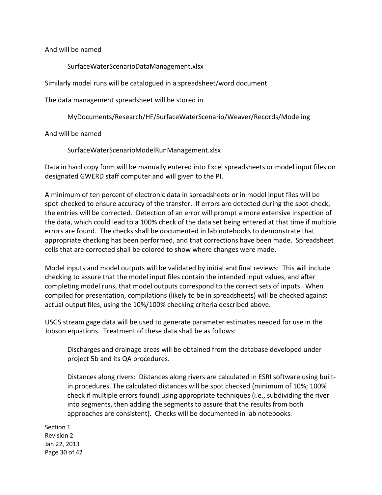And will be named

SurfaceWaterScenarioDataManagement.xlsx

Similarly model runs will be catalogued in a spreadsheet/word document

The data management spreadsheet will be stored in

MyDocuments/Research/HF/SurfaceWaterScenario/Weaver/Records/Modeling

And will be named

SurfaceWaterScenarioModelRunManagement.xlsx

 Data in hard copy form will be manually entered into Excel spreadsheets or model input files on designated GWERD staff computer and will given to the PI.

 A minimum of ten percent of electronic data in spreadsheets or in model input files will be spot-checked to ensure accuracy of the transfer. If errors are detected during the spot-check, the entries will be corrected. Detection of an error will prompt a more extensive inspection of the data, which could lead to a 100% check of the data set being entered at that time if multiple errors are found. The checks shall be documented in lab notebooks to demonstrate that appropriate checking has been performed, and that corrections have been made. Spreadsheet cells that are corrected shall be colored to show where changes were made.

 Model inputs and model outputs will be validated by initial and final reviews: This will include checking to assure that the model input files contain the intended input values, and after completing model runs, that model outputs correspond to the correct sets of inputs. When compiled for presentation, compilations (likely to be in spreadsheets) will be checked against actual output files, using the 10%/100% checking criteria described above.

 USGS stream gage data will be used to generate parameter estimates needed for use in the Jobson equations. Treatment of these data shall be as follows:

 Discharges and drainage areas will be obtained from the database developed under project 5b and its QA procedures.

 Distances along rivers: Distances along rivers are calculated in ESRI software using built- in procedures. The calculated distances will be spot checked (minimum of 10%; 100% check if multiple errors found) using appropriate techniques (i.e., subdividing the river into segments, then adding the segments to assure that the results from both approaches are consistent). Checks will be documented in lab notebooks.

 Section 1 Revision 2 Jan 22, 2013 Page 30 of 42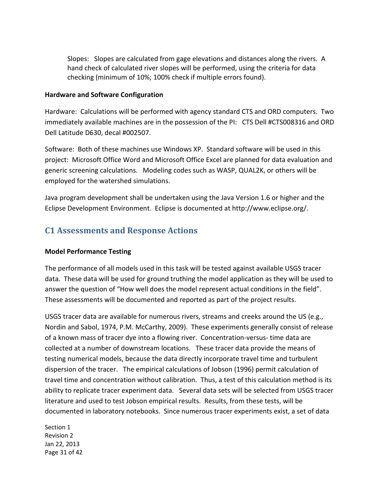Slopes: Slopes are calculated from gage elevations and distances along the rivers. A hand check of calculated river slopes will be performed, using the criteria for data checking (minimum of 10%; 100% check if multiple errors found).

#### **Hardware and Software Configuration**

 Hardware: Calculations will be performed with agency standard CTS and ORD computers. Two immediately available machines are in the possession of the PI: CTS Dell #CTS008316 and ORD Dell Latitude D630, decal #002507.

 Software: Both of these machines use Windows XP. Standard software will be used in this project: Microsoft Office Word and Microsoft Office Excel are planned for data evaluation and generic screening calculations. Modeling codes such as WASP, QUAL2K, or others will be employed for the watershed simulations.

 Java program development shall be undertaken using the Java Version 1.6 or higher and the Eclipse Development Environment. Eclipse is documented at [http://www.eclipse.org/.](http://www.eclipse.org/) 

### **C1 Assessments and Response Actions**

#### **Model Performance Testing**

 The performance of all models used in this task will be tested against available USGS tracer data. These data will be used for ground truthing the model application as they will be used to answer the question of "How well does the model represent actual conditions in the field". These assessments will be documented and reported as part of the project results.

 USGS tracer data are available for numerous rivers, streams and creeks around the US (e.g., Nordin and Sabol, 1974, P.M. McCarthy, 2009). These experiments generally consist of release of a known mass of tracer dye into a flowing river. Concentration-versus- time data are collected at a number of downstream locations. These tracer data provide the means of testing numerical models, because the data directly incorporate travel time and turbulent dispersion of the tracer. The empirical calculations of Jobson (1996) permit calculation of travel time and concentration without calibration. Thus, a test of this calculation method is its ability to replicate tracer experiment data. Several data sets will be selected from USGS tracer literature and used to test Jobson empirical results. Results, from these tests, will be documented in laboratory notebooks. Since numerous tracer experiments exist, a set of data

Section 1 Revision 2 Jan 22, 2013 Page 31 of 42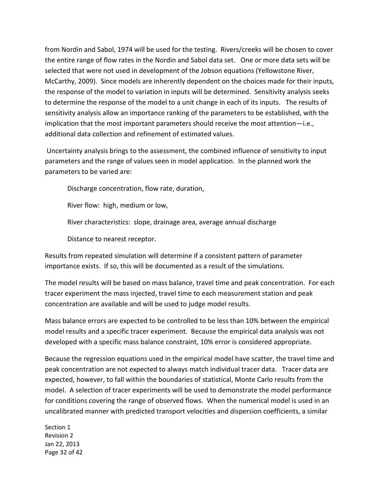from Nordin and Sabol, 1974 will be used for the testing. Rivers/creeks will be chosen to cover the entire range of flow rates in the Nordin and Sabol data set. One or more data sets will be selected that were not used in development of the Jobson equations (Yellowstone River, McCarthy, 2009). Since models are inherently dependent on the choices made for their inputs, the response of the model to variation in inputs will be determined. Sensitivity analysis seeks to determine the response of the model to a unit change in each of its inputs. The results of sensitivity analysis allow an importance ranking of the parameters to be established, with the implication that the most important parameters should receive the most attention—i.e., additional data collection and refinement of estimated values.

 Uncertainty analysis brings to the assessment, the combined influence of sensitivity to input parameters and the range of values seen in model application. In the planned work the parameters to be varied are:

Discharge concentration, flow rate, duration,

River flow: high, medium or low,

River characteristics: slope, drainage area, average annual discharge

Distance to nearest receptor.

 Results from repeated simulation will determine if a consistent pattern of parameter importance exists. If so, this will be documented as a result of the simulations.

 The model results will be based on mass balance, travel time and peak concentration. For each tracer experiment the mass injected, travel time to each measurement station and peak concentration are available and will be used to judge model results.

 Mass balance errors are expected to be controlled to be less than 10% between the empirical model results and a specific tracer experiment. Because the empirical data analysis was not developed with a specific mass balance constraint, 10% error is considered appropriate.

 Because the regression equations used in the empirical model have scatter, the travel time and peak concentration are not expected to always match individual tracer data. Tracer data are expected, however, to fall within the boundaries of statistical, Monte Carlo results from the model. A selection of tracer experiments will be used to demonstrate the model performance for conditions covering the range of observed flows. When the numerical model is used in an uncalibrated manner with predicted transport velocities and dispersion coefficients, a similar

Section 1 Revision 2 Jan 22, 2013 Page 32 of 42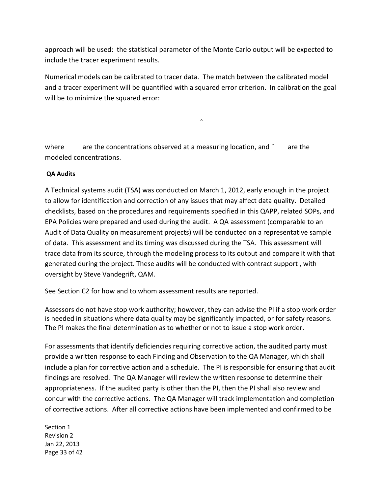approach will be used: the statistical parameter of the Monte Carlo output will be expected to include the tracer experiment results.

 Numerical models can be calibrated to tracer data. The match between the calibrated model and a tracer experiment will be quantified with a squared error criterion. In calibration the goal will be to minimize the squared error:

 $\hat{\phantom{a}}$ 

where are the concentrations observed at a measuring location, and ^ are the modeled concentrations.

#### **QA Audits**

 A Technical systems audit (TSA) was conducted on March 1, 2012, early enough in the project to allow for identification and correction of any issues that may affect data quality. Detailed checklists, based on the procedures and requirements specified in this QAPP, related SOPs, and EPA Policies were prepared and used during the audit. A QA assessment (comparable to an Audit of Data Quality on measurement projects) will be conducted on a representative sample of data. This assessment and its timing was discussed during the TSA. This assessment will trace data from its source, through the modeling process to its output and compare it with that generated during the project. These audits will be conducted with contract support , with oversight by Steve Vandegrift, QAM.

See Section C2 for how and to whom assessment results are reported.

 Assessors do not have stop work authority; however, they can advise the PI if a stop work order is needed in situations where data quality may be significantly impacted, or for safety reasons. The PI makes the final determination as to whether or not to issue a stop work order.

 For assessments that identify deficiencies requiring corrective action, the audited party must provide a written response to each Finding and Observation to the QA Manager, which shall include a plan for corrective action and a schedule. The PI is responsible for ensuring that audit findings are resolved. The QA Manager will review the written response to determine their appropriateness. If the audited party is other than the PI, then the PI shall also review and concur with the corrective actions. The QA Manager will track implementation and completion of corrective actions. After all corrective actions have been implemented and confirmed to be

Section 1 Revision 2 Jan 22, 2013 Page 33 of 42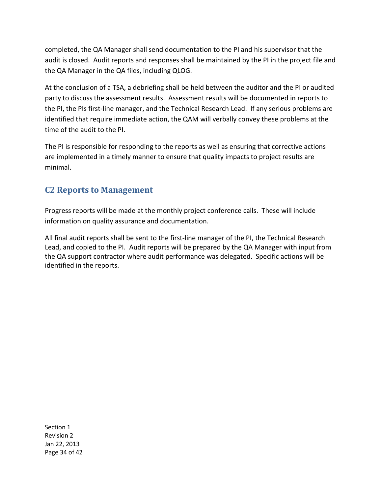completed, the QA Manager shall send documentation to the PI and his supervisor that the audit is closed. Audit reports and responses shall be maintained by the PI in the project file and the QA Manager in the QA files, including QLOG.

 At the conclusion of a TSA, a debriefing shall be held between the auditor and the PI or audited party to discuss the assessment results. Assessment results will be documented in reports to the PI, the PIs first-line manager, and the Technical Research Lead. If any serious problems are identified that require immediate action, the QAM will verbally convey these problems at the time of the audit to the PI.

 The PI is responsible for responding to the reports as well as ensuring that corrective actions are implemented in a timely manner to ensure that quality impacts to project results are minimal.

## **C2 Reports to Management**

 Progress reports will be made at the monthly project conference calls. These will include information on quality assurance and documentation.

 All final audit reports shall be sent to the first-line manager of the PI, the Technical Research Lead, and copied to the PI. Audit reports will be prepared by the QA Manager with input from the QA support contractor where audit performance was delegated. Specific actions will be identified in the reports.

Section 1 Revision 2 Jan 22, 2013 Page 34 of 42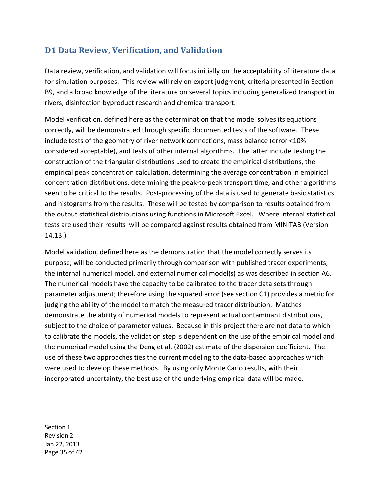# **D1 Data Review, Verification, and Validation**

 Data review, verification, and validation will focus initially on the acceptability of literature data for simulation purposes. This review will rely on expert judgment, criteria presented in Section B9, and a broad knowledge of the literature on several topics including generalized transport in rivers, disinfection byproduct research and chemical transport.

 Model verification, defined here as the determination that the model solves its equations correctly, will be demonstrated through specific documented tests of the software. These include tests of the geometry of river network connections, mass balance (error <10% considered acceptable), and tests of other internal algorithms. The latter include testing the construction of the triangular distributions used to create the empirical distributions, the empirical peak concentration calculation, determining the average concentration in empirical concentration distributions, determining the peak-to-peak transport time, and other algorithms seen to be critical to the results. Post-processing of the data is used to generate basic statistics and histograms from the results. These will be tested by comparison to results obtained from the output statistical distributions using functions in Microsoft Excel. Where internal statistical tests are used their results will be compared against results obtained from MINITAB (Version 14.13.)

 Model validation, defined here as the demonstration that the model correctly serves its purpose, will be conducted primarily through comparison with published tracer experiments, the internal numerical model, and external numerical model(s) as was described in section A6. The numerical models have the capacity to be calibrated to the tracer data sets through parameter adjustment; therefore using the squared error (see section C1) provides a metric for judging the ability of the model to match the measured tracer distribution. Matches demonstrate the ability of numerical models to represent actual contaminant distributions, subject to the choice of parameter values. Because in this project there are not data to which to calibrate the models, the validation step is dependent on the use of the empirical model and the numerical model using the Deng et al. (2002) estimate of the dispersion coefficient. The use of these two approaches ties the current modeling to the data-based approaches which were used to develop these methods. By using only Monte Carlo results, with their incorporated uncertainty, the best use of the underlying empirical data will be made.

Section 1 Revision 2 Jan 22, 2013 Page 35 of 42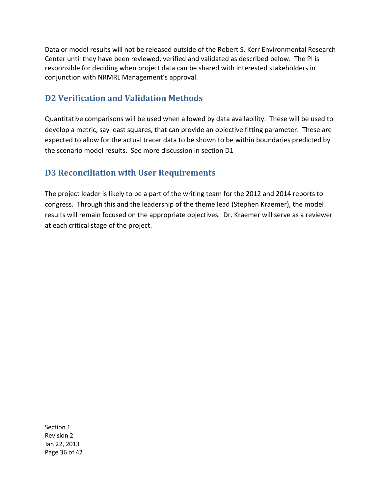Data or model results will not be released outside of the Robert S. Kerr Environmental Research Center until they have been reviewed, verified and validated as described below. The PI is responsible for deciding when project data can be shared with interested stakeholders in conjunction with NRMRL Management's approval.

### **D2 Verification and Validation Methods**

 Quantitative comparisons will be used when allowed by data availability. These will be used to develop a metric, say least squares, that can provide an objective fitting parameter. These are expected to allow for the actual tracer data to be shown to be within boundaries predicted by the scenario model results. See more discussion in section D1

## **D3 Reconciliation with User Requirements**

 The project leader is likely to be a part of the writing team for the 2012 and 2014 reports to congress. Through this and the leadership of the theme lead (Stephen Kraemer), the model results will remain focused on the appropriate objectives. Dr. Kraemer will serve as a reviewer at each critical stage of the project.

Section 1 Revision 2 Jan 22, 2013 Page 36 of 42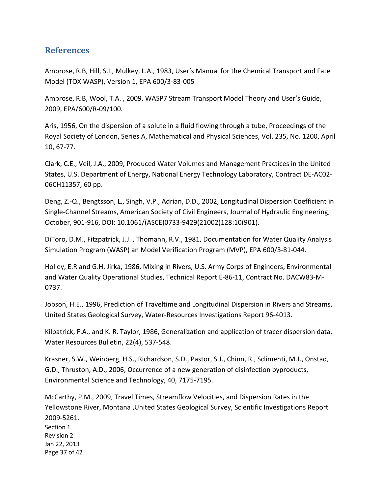### **References**

 Ambrose, R.B, Hill, S.I., Mulkey, L.A., 1983, User's Manual for the Chemical Transport and Fate Model (TOXIWASP), Version 1, EPA 600/3-83-005

 Ambrose, R.B, Wool, T.A. , 2009, WASP7 Stream Transport Model Theory and User's Guide, 2009, EPA/600/R-09/100.

 Aris, 1956, On the dispersion of a solute in a fluid flowing through a tube, Proceedings of the Royal Society of London, Series A, Mathematical and Physical Sciences, Vol. 235, No. 1200, April 10, 67-77.

 Clark, C.E., Veil, J.A., 2009, Produced Water Volumes and Management Practices in the United States, U.S. Department of Energy, National Energy Technology Laboratory, Contract DE-AC02- 06CH11357, 60 pp.

 Deng, Z.-Q., Bengtsson, L., Singh, V.P., Adrian, D.D., 2002, Longitudinal Dispersion Coefficient in Single-Channel Streams, American Society of Civil Engineers, Journal of Hydraulic Engineering, October, 901-916, DOI: 10.1061/(ASCE)0733-9429(21002)128:10(901).

 DiToro, D.M., Fitzpatrick, J.J. , Thomann, R.V., 1981, Documentation for Water Quality Analysis Simulation Program (WASP) an Model Verification Program (MVP), EPA 600/3-81-044.

 Holley, E.R and G.H. Jirka, 1986, Mixing in Rivers, U.S. Army Corps of Engineers, Environmental and Water Quality Operational Studies, Technical Report E-86-11, Contract No. DACW83-M-0737.

 Jobson, H.E., 1996, Prediction of Traveltime and Longitudinal Dispersion in Rivers and Streams, United States Geological Survey, Water-Resources Investigations Report 96-4013.

 Kilpatrick, F.A., and K. R. Taylor, 1986, Generalization and application of tracer dispersion data, Water Resources Bulletin, 22(4), 537-548.

 Krasner, S.W., Weinberg, H.S., Richardson, S.D., Pastor, S.J., Chinn, R., Sclimenti, M.J., Onstad, G.D., Thruston, A.D., 2006, Occurrence of a new generation of disinfection byproducts, Environmental Science and Technology, 40, 7175-7195.

 Section 1 Revision 2 Jan 22, 2013 Page 37 of 42 McCarthy, P.M., 2009, Travel Times, Streamflow Velocities, and Dispersion Rates in the Yellowstone River, Montana ,United States Geological Survey, Scientific Investigations Report 2009-5261.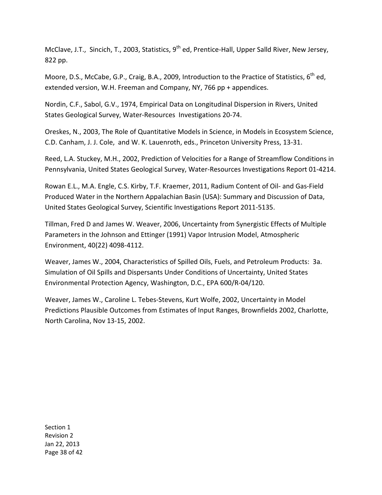McClave, J.T., Sincich, T., 2003, Statistics, 9<sup>th</sup> ed, Prentice-Hall, Upper Salld River, New Jersey, 822 pp.

Moore, D.S., McCabe, G.P., Craig, B.A., 2009, Introduction to the Practice of Statistics,  $6^{th}$  ed, extended version, W.H. Freeman and Company, NY, 766 pp + appendices.

 Nordin, C.F., Sabol, G.V., 1974, Empirical Data on Longitudinal Dispersion in Rivers, United States Geological Survey, Water-Resources Investigations 20-74.

 Oreskes, N., 2003, The Role of Quantitative Models in Science, in Models in Ecosystem Science, C.D. Canham, J. J. Cole, and W. K. Lauenroth, eds., Princeton University Press, 13-31.

 Reed, L.A. Stuckey, M.H., 2002, Prediction of Velocities for a Range of Streamflow Conditions in Pennsylvania, United States Geological Survey, Water-Resources Investigations Report 01-4214.

 Rowan E.L., M.A. Engle, C.S. Kirby, T.F. Kraemer, 2011, Radium Content of Oil- and Gas-Field Produced Water in the Northern Appalachian Basin (USA): Summary and Discussion of Data, United States Geological Survey, Scientific Investigations Report 2011-5135.

 Tillman, Fred D and James W. Weaver, 2006, Uncertainty from Synergistic Effects of Multiple Parameters in the Johnson and Ettinger (1991) Vapor Intrusion Model, Atmospheric Environment, 40(22) 4098-4112.

 Weaver, James W., 2004, Characteristics of Spilled Oils, Fuels, and Petroleum Products: 3a. Simulation of Oil Spills and Dispersants Under Conditions of Uncertainty, United States Environmental Protection Agency, Washington, D.C., EPA 600/R-04/120.

 Weaver, James W., Caroline L. Tebes-Stevens, Kurt Wolfe, 2002, Uncertainty in Model Predictions Plausible Outcomes from Estimates of Input Ranges, Brownfields 2002, Charlotte, North Carolina, Nov 13-15, 2002.

Section 1 Revision 2 Jan 22, 2013 Page 38 of 42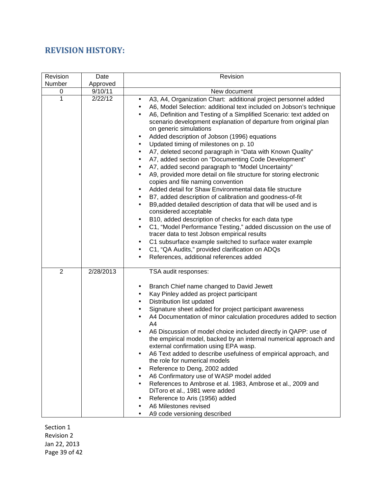## **REVISION HISTORY:**

| Revision       | Date      | Revision                                                                                                                                                                                                                                                                                                                                                                                                                                                                                                                                                                                                                                                                                                                                                                                                                                                                                                                                                                                                                                                                                                                                                                                                                                                                                                                                                                                                                                                         |
|----------------|-----------|------------------------------------------------------------------------------------------------------------------------------------------------------------------------------------------------------------------------------------------------------------------------------------------------------------------------------------------------------------------------------------------------------------------------------------------------------------------------------------------------------------------------------------------------------------------------------------------------------------------------------------------------------------------------------------------------------------------------------------------------------------------------------------------------------------------------------------------------------------------------------------------------------------------------------------------------------------------------------------------------------------------------------------------------------------------------------------------------------------------------------------------------------------------------------------------------------------------------------------------------------------------------------------------------------------------------------------------------------------------------------------------------------------------------------------------------------------------|
| Number         | Approved  |                                                                                                                                                                                                                                                                                                                                                                                                                                                                                                                                                                                                                                                                                                                                                                                                                                                                                                                                                                                                                                                                                                                                                                                                                                                                                                                                                                                                                                                                  |
| 0              | 9/10/11   | New document                                                                                                                                                                                                                                                                                                                                                                                                                                                                                                                                                                                                                                                                                                                                                                                                                                                                                                                                                                                                                                                                                                                                                                                                                                                                                                                                                                                                                                                     |
| 1              | 2/22/12   | A3, A4, Organization Chart: additional project personnel added<br>$\bullet$<br>A6, Model Selection: additional text included on Jobson's technique<br>$\bullet$<br>A6, Definition and Testing of a Simplified Scenario: text added on<br>$\bullet$<br>scenario development explanation of departure from original plan<br>on generic simulations<br>Added description of Jobson (1996) equations<br>٠<br>Updated timing of milestones on p. 10<br>$\bullet$<br>A7, deleted second paragraph in "Data with Known Quality"<br>$\bullet$<br>A7, added section on "Documenting Code Development"<br>$\bullet$<br>A7, added second paragraph to "Model Uncertainty"<br>$\bullet$<br>A9, provided more detail on file structure for storing electronic<br>$\bullet$<br>copies and file naming convention<br>Added detail for Shaw Environmental data file structure<br>$\bullet$<br>B7, added description of calibration and goodness-of-fit<br>$\bullet$<br>B9, added detailed description of data that will be used and is<br>$\bullet$<br>considered acceptable<br>B10, added description of checks for each data type<br>$\bullet$<br>C1, "Model Performance Testing," added discussion on the use of<br>$\bullet$<br>tracer data to test Jobson empirical results<br>C1 subsurface example switched to surface water example<br>$\bullet$<br>C1, "QA Audits," provided clarification on ADQs<br>$\bullet$<br>References, additional references added<br>$\bullet$ |
| $\overline{2}$ | 2/28/2013 | TSA audit responses:<br>Branch Chief name changed to David Jewett<br>٠<br>Kay Pinley added as project participant<br>$\bullet$<br>Distribution list updated<br>$\bullet$<br>Signature sheet added for project participant awareness<br>$\bullet$<br>A4 Documentation of minor calculation procedures added to section<br>$\bullet$<br>A4<br>A6 Discussion of model choice included directly in QAPP: use of<br>$\bullet$<br>the empirical model, backed by an internal numerical approach and<br>external confirmation using EPA wasp.<br>A6 Text added to describe usefulness of empirical approach, and<br>٠<br>the role for numerical models<br>Reference to Deng, 2002 added<br>$\bullet$<br>A6 Confirmatory use of WASP model added<br>$\bullet$<br>References to Ambrose et al. 1983, Ambrose et al., 2009 and<br>$\bullet$<br>DiToro et al., 1981 were added<br>Reference to Aris (1956) added<br>$\bullet$<br>A6 Milestones revised<br>$\bullet$<br>A9 code versioning described<br>$\bullet$                                                                                                                                                                                                                                                                                                                                                                                                                                                            |

Section 1 Revision 2 Jan 22, 2013 Page 39 of 42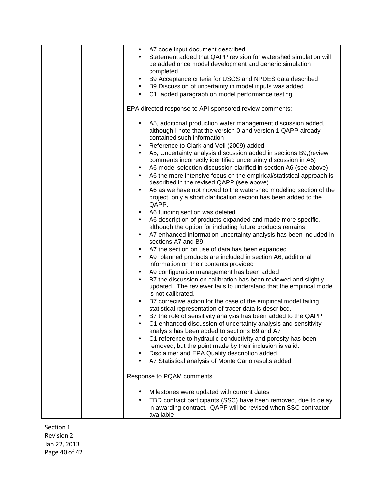|  | A7 code input document described<br>$\bullet$                                     |
|--|-----------------------------------------------------------------------------------|
|  | Statement added that QAPP revision for watershed simulation will                  |
|  | be added once model development and generic simulation                            |
|  | completed.                                                                        |
|  | B9 Acceptance criteria for USGS and NPDES data described<br>$\bullet$             |
|  | B9 Discussion of uncertainty in model inputs was added.<br>$\bullet$              |
|  |                                                                                   |
|  | C1, added paragraph on model performance testing.<br>$\bullet$                    |
|  | EPA directed response to API sponsored review comments:                           |
|  |                                                                                   |
|  | A5, additional production water management discussion added,<br>$\bullet$         |
|  | although I note that the version 0 and version 1 QAPP already                     |
|  | contained such information                                                        |
|  | Reference to Clark and Veil (2009) added<br>٠                                     |
|  | A5, Uncertainty analysis discussion added in sections B9, (review<br>$\bullet$    |
|  | comments incorrectly identified uncertainty discussion in A5)                     |
|  | A6 model selection discussion clarified in section A6 (see above)<br>$\bullet$    |
|  | A6 the more intensive focus on the empirical/statistical approach is<br>$\bullet$ |
|  | described in the revised QAPP (see above)                                         |
|  | A6 as we have not moved to the watershed modeling section of the                  |
|  | project, only a short clarification section has been added to the                 |
|  | QAPP.                                                                             |
|  | A6 funding section was deleted.<br>٠                                              |
|  | A6 description of products expanded and made more specific,<br>$\bullet$          |
|  | although the option for including future products remains.                        |
|  | A7 enhanced information uncertainty analysis has been included in<br>$\bullet$    |
|  | sections A7 and B9.                                                               |
|  | A7 the section on use of data has been expanded.<br>٠                             |
|  | A9 planned products are included in section A6, additional<br>$\bullet$           |
|  | information on their contents provided                                            |
|  | A9 configuration management has been added<br>٠                                   |
|  | B7 the discussion on calibration has been reviewed and slightly<br>$\bullet$      |
|  | updated. The reviewer fails to understand that the empirical model                |
|  | is not calibrated.                                                                |
|  | B7 corrective action for the case of the empirical model failing<br>$\bullet$     |
|  | statistical representation of tracer data is described.                           |
|  | B7 the role of sensitivity analysis has been added to the QAPP                    |
|  | C1 enhanced discussion of uncertainty analysis and sensitivity                    |
|  | analysis has been added to sections B9 and A7                                     |
|  | C1 reference to hydraulic conductivity and porosity has been<br>$\bullet$         |
|  | removed, but the point made by their inclusion is valid.                          |
|  | Disclaimer and EPA Quality description added.<br>٠                                |
|  | A7 Statistical analysis of Monte Carlo results added.<br>$\bullet$                |
|  |                                                                                   |
|  | Response to PQAM comments                                                         |
|  |                                                                                   |
|  | Milestones were updated with current dates                                        |
|  | TBD contract participants (SSC) have been removed, due to delay<br>$\bullet$      |
|  | in awarding contract. QAPP will be revised when SSC contractor                    |
|  | available                                                                         |

Section 1 Revision 2 Jan 22, 2013 Page 40 of 42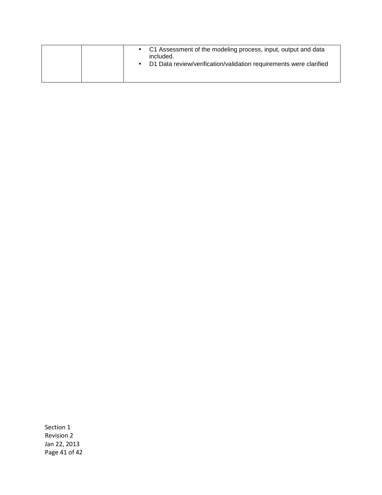|  | • C1 Assessment of the modeling process, input, output and data<br>included.<br>D1 Data review/verification/validation requirements were clarified |
|--|----------------------------------------------------------------------------------------------------------------------------------------------------|
|--|----------------------------------------------------------------------------------------------------------------------------------------------------|

Section 1 Revision 2 Jan 22, 2013 Page 41 of 42